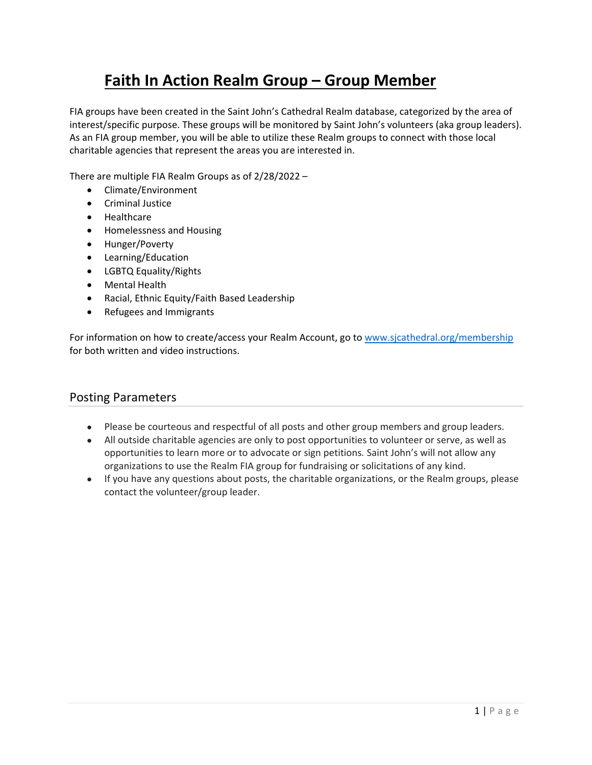# **Faith In Action Realm Group – Group Member**

FIA groups have been created in the Saint John's Cathedral Realm database, categorized by the area of interest/specific purpose. These groups will be monitored by Saint John's volunteers (aka group leaders). As an FIA group member, you will be able to utilize these Realm groups to connect with those local charitable agencies that represent the areas you are interested in.

There are multiple FIA Realm Groups as of 2/28/2022 –

- Climate/Environment
- **•** Criminal Justice
- Healthcare
- Homelessness and Housing
- Hunger/Poverty
- Learning/Education
- LGBTQ Equality/Rights
- Mental Health
- Racial, Ethnic Equity/Faith Based Leadership
- Refugees and Immigrants

For information on how to create/access your Realm Account, go to www.sjcathedral.org/membership for both written and video instructions.

### Posting Parameters

- Please be courteous and respectful of all posts and other group members and group leaders.
- All outside charitable agencies are only to post opportunities to volunteer or serve, as well as opportunities to learn more or to advocate or sign petitions*.* Saint John's will not allow any organizations to use the Realm FIA group for fundraising or solicitations of any kind.
- If you have any questions about posts, the charitable organizations, or the Realm groups, please contact the volunteer/group leader.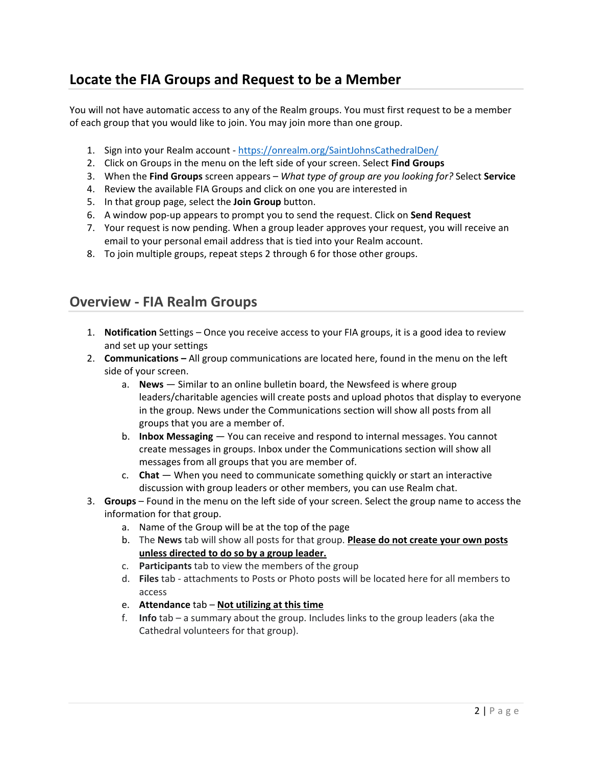# **Locate the FIA Groups and Request to be a Member**

You will not have automatic access to any of the Realm groups. You must first request to be a member of each group that you would like to join. You may join more than one group.

- 1. Sign into your Realm account ‐ https://onrealm.org/SaintJohnsCathedralDen/
- 2. Click on Groups in the menu on the left side of your screen. Select **Find Groups**
- 3. When the **Find Groups** screen appears *What type of group are you looking for?* Select **Service**
- 4. Review the available FIA Groups and click on one you are interested in
- 5. In that group page, select the **Join Group** button.
- 6. A window pop‐up appears to prompt you to send the request. Click on **Send Request**
- 7. Your request is now pending. When a group leader approves your request, you will receive an email to your personal email address that is tied into your Realm account.
- 8. To join multiple groups, repeat steps 2 through 6 for those other groups.

### **Overview ‐ FIA Realm Groups**

- 1. **Notification** Settings Once you receive access to your FIA groups, it is a good idea to review and set up your settings
- 2. **Communications –** All group communications are located here, found in the menu on the left side of your screen.
	- a. **News** Similar to an online bulletin board, the Newsfeed is where group leaders/charitable agencies will create posts and upload photos that display to everyone in the group. News under the Communications section will show all posts from all groups that you are a member of.
	- b. **Inbox Messaging** You can receive and respond to internal messages. You cannot create messages in groups. Inbox under the Communications section will show all messages from all groups that you are member of.
	- c. **Chat** When you need to communicate something quickly or start an interactive discussion with group leaders or other members, you can use Realm chat.
- 3. **Groups** Found in the menu on the left side of your screen. Select the group name to access the information for that group.
	- a. Name of the Group will be at the top of the page
	- b. The **News** tab will show all posts for that group. **Please do not create your own posts unless directed to do so by a group leader.**
	- c. **Participants** tab to view the members of the group
	- d. **Files** tab ‐ attachments to Posts or Photo posts will be located here for all members to access
	- e. **Attendance** tab **Not utilizing at this time**
	- f. **Info** tab a summary about the group. Includes links to the group leaders (aka the Cathedral volunteers for that group).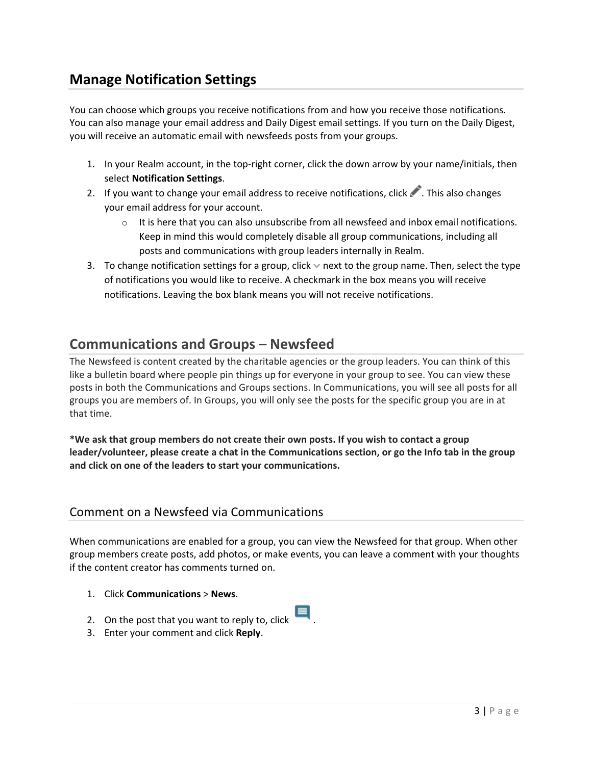# **Manage Notification Settings**

You can choose which groups you receive notifications from and how you receive those notifications. You can also manage your email address and Daily Digest email settings. If you turn on the Daily Digest, you will receive an automatic email with newsfeeds posts from your groups.

- 1. In your Realm account, in the top-right corner, click the down arrow by your name/initials, then select **Notification Settings**.
- 2. If you want to change your email address to receive notifications, click . This also changes your email address for your account.
	- $\circ$  It is here that you can also unsubscribe from all newsfeed and inbox email notifications. Keep in mind this would completely disable all group communications, including all posts and communications with group leaders internally in Realm.
- 3. To change notification settings for a group, click  $\vee$  next to the group name. Then, select the type of notifications you would like to receive. A checkmark in the box means you will receive notifications. Leaving the box blank means you will not receive notifications.

### **Communications and Groups – Newsfeed**

The Newsfeed is content created by the charitable agencies or the group leaders. You can think of this like a bulletin board where people pin things up for everyone in your group to see. You can view these posts in both the Communications and Groups sections. In Communications, you will see all posts for all groups you are members of. In Groups, you will only see the posts for the specific group you are in at that time.

**\*We ask that group members do not create their own posts. If you wish to contact a group leader/volunteer, please create a chat in the Communications section, or go the Info tab in the group and click on one of the leaders to start your communications.**

### Comment on a Newsfeed via Communications

When communications are enabled for a group, you can view the Newsfeed for that group. When other group members create posts, add photos, or make events, you can leave a comment with your thoughts if the content creator has comments turned on.

- 1. Click **Communications** > **News**.
- 2. On the post that you want to reply to, click
- 3. Enter your comment and click **Reply**.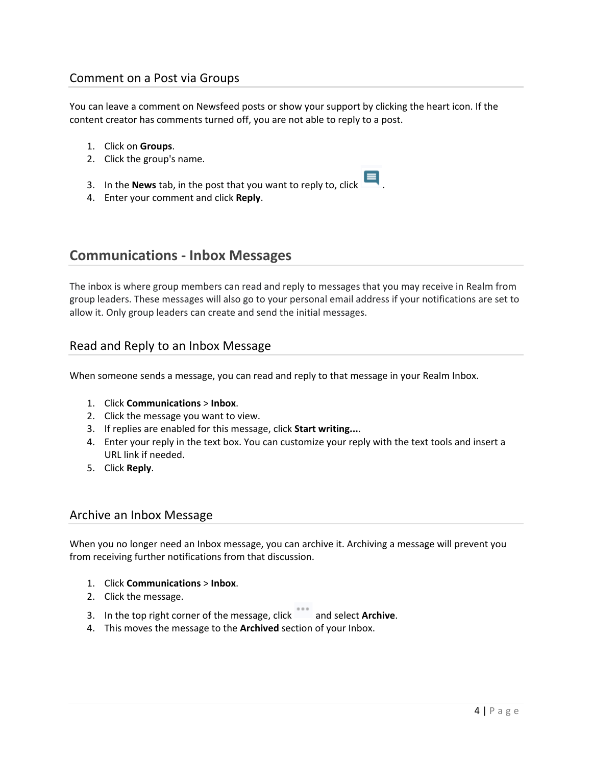### Comment on a Post via Groups

You can leave a comment on Newsfeed posts or show your support by clicking the heart icon. If the content creator has comments turned off, you are not able to reply to a post.

- 1. Click on **Groups**.
- 2. Click the group's name.
- 3. In the **News** tab, in the post that you want to reply to, click  $\blacksquare$
- 4. Enter your comment and click **Reply**.

### **Communications ‐ Inbox Messages**

The inbox is where group members can read and reply to messages that you may receive in Realm from group leaders. These messages will also go to your personal email address if your notifications are set to allow it. Only group leaders can create and send the initial messages.

### Read and Reply to an Inbox Message

When someone sends a message, you can read and reply to that message in your Realm Inbox.

- 1. Click **Communications** > **Inbox**.
- 2. Click the message you want to view.
- 3. If replies are enabled for this message, click **Start writing...**.
- 4. Enter your reply in the text box. You can customize your reply with the text tools and insert a URL link if needed.
- 5. Click **Reply**.

#### Archive an Inbox Message

When you no longer need an Inbox message, you can archive it. Archiving a message will prevent you from receiving further notifications from that discussion.

- 1. Click **Communications** > **Inbox**.
- 2. Click the message.
- 3. In the top right corner of the message, click and select **Archive**.
- 4. This moves the message to the **Archived** section of your Inbox.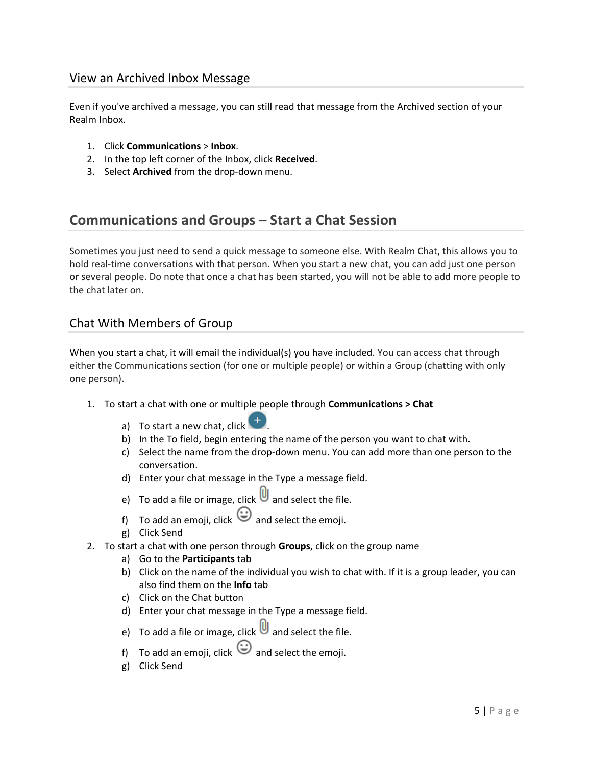### View an Archived Inbox Message

Even if you've archived a message, you can still read that message from the Archived section of your Realm Inbox.

- 1. Click **Communications** > **Inbox**.
- 2. In the top left corner of the Inbox, click **Received**.
- 3. Select **Archived** from the drop‐down menu.

### **Communications and Groups – Start a Chat Session**

Sometimes you just need to send a quick message to someone else. With Realm Chat, this allows you to hold real-time conversations with that person. When you start a new chat, you can add just one person or several people. Do note that once a chat has been started, you will not be able to add more people to the chat later on.

### Chat With Members of Group

When you start a chat, it will email the individual(s) you have included. You can access chat through either the Communications section (for one or multiple people) or within a Group (chatting with only one person).

- 1. To start a chat with one or multiple people through **Communications > Chat**
	- a) To start a new chat, click
	- b) In the To field, begin entering the name of the person you want to chat with.
	- c) Select the name from the drop-down menu. You can add more than one person to the conversation.
	- d) Enter your chat message in the Type a message field.
	- e) To add a file or image, click  $\Box$  and select the file.
	- f) To add an emoji, click  $\bigodot$  and select the emoji.
	- g) Click Send
- 2. To start a chat with one person through **Groups**, click on the group name
	- a) Go to the **Participants** tab
	- b) Click on the name of the individual you wish to chat with. If it is a group leader, you can also find them on the **Info** tab
	- c) Click on the Chat button
	- d) Enter your chat message in the Type a message field.
	- e) To add a file or image, click  $\Box$  and select the file.
	- f) To add an emoji, click  $\bigodot$  and select the emoji.
	- g) Click Send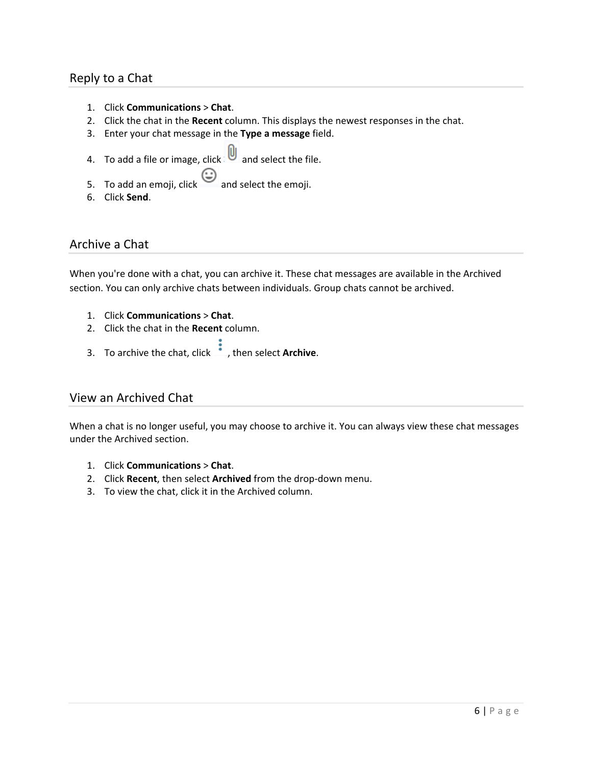### Reply to a Chat

- 1. Click **Communications** > **Chat**.
- 2. Click the chat in the **Recent** column. This displays the newest responses in the chat.
- 3. Enter your chat message in the **Type a message** field.
- 4. To add a file or image, click and select the file.
- 5. To add an emoji, click  $\bigodot$  and select the emoji.
- 6. Click **Send**.

### Archive a Chat

When you're done with a chat, you can archive it. These chat messages are available in the Archived section. You can only archive chats between individuals. Group chats cannot be archived.

- 1. Click **Communications** > **Chat**.
- 2. Click the chat in the **Recent** column.
- 3. To archive the chat, click , then select **Archive**.

### View an Archived Chat

When a chat is no longer useful, you may choose to archive it. You can always view these chat messages under the Archived section.

- 1. Click **Communications** > **Chat**.
- 2. Click **Recent**, then select **Archived** from the drop‐down menu.
- 3. To view the chat, click it in the Archived column.